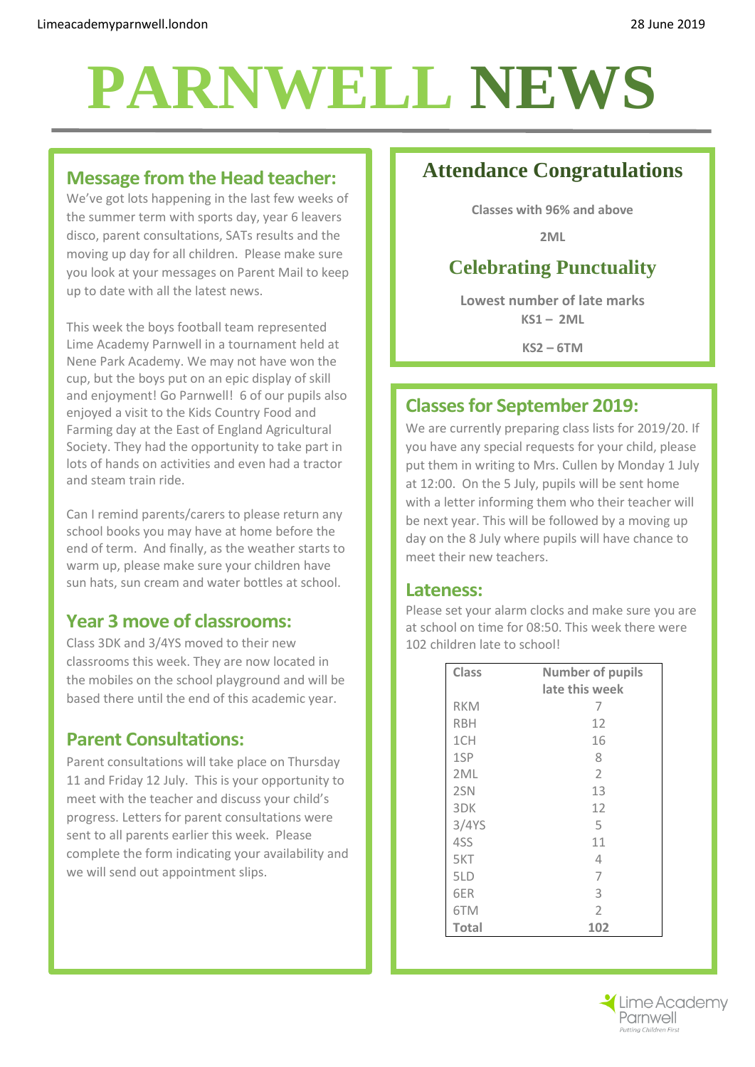## **PARNWELL NEWS**

#### **Message from the Head teacher:**

We've got lots happening in the last few weeks of the summer term with sports day, year 6 leavers disco, parent consultations, SATs results and the moving up day for all children. Please make sure you look at your messages on Parent Mail to keep up to date with all the latest news.

This week the boys football team represented Lime Academy Parnwell in a tournament held at Nene Park Academy. We may not have won the cup, but the boys put on an epic display of skill and enjoyment! Go Parnwell! 6 of our pupils also enjoyed a visit to the Kids Country Food and Farming day at the East of England Agricultural Society. They had the opportunity to take part in lots of hands on activities and even had a tractor and steam train ride.

Can I remind parents/carers to please return any school books you may have at home before the end of term. And finally, as the weather starts to warm up, please make sure your children have sun hats, sun cream and water bottles at school.

#### **Year 3 move of classrooms:**

Class 3DK and 3/4YS moved to their new classrooms this week. They are now located in the mobiles on the school playground and will be based there until the end of this academic year.

#### **Parent Consultations:**

Parent consultations will take place on Thursday 11 and Friday 12 July. This is your opportunity to meet with the teacher and discuss your child's progress. Letters for parent consultations were sent to all parents earlier this week. Please complete the form indicating your availability and we will send out appointment slips.

## **Attendance Congratulations**

**Classes with 96% and above**

**2ML**

## **Celebrating Punctuality**

**Lowest number of late marks KS1 – 2ML**

**KS2 – 6TM**

#### **Classesfor September 2019:**

We are currently preparing class lists for 2019/20. If you have any special requests for your child, please put them in writing to Mrs. Cullen by Monday 1 July at 12:00. On the 5 July, pupils will be sent home with a letter informing them who their teacher will be next year. This will be followed by a moving up day on the 8 July where pupils will have chance to meet their new teachers.

#### **Lateness:**

Please set your alarm clocks and make sure you are at school on time for 08:50. This week there were 102 children late to school!

| <b>Class</b> | <b>Number of pupils</b> |
|--------------|-------------------------|
|              | late this week          |
| <b>RKM</b>   | 7                       |
| <b>RBH</b>   | 12                      |
| 1CH          | 16                      |
| 1SP          | 8                       |
| 2ML          | $\overline{2}$          |
| 2SN          | 13                      |
| 3DK          | 12                      |
| 3/4YS        | 5                       |
| 4SS          | 11                      |
| 5KT          | 4                       |
| 5LD          | 7                       |
| 6ER          | 3                       |
| 6TM          | $\mathcal{P}$           |
| <b>Total</b> | 102                     |